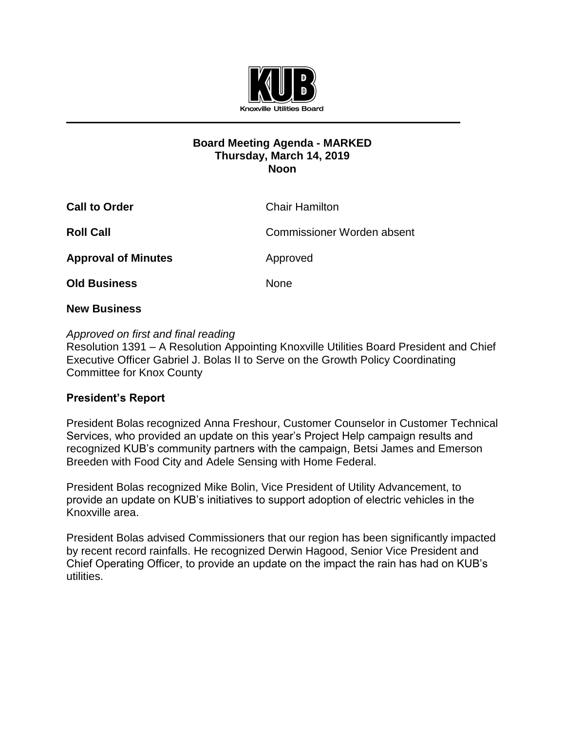

## **Board Meeting Agenda - MARKED Thursday, March 14, 2019 Noon**

| <b>Call to Order</b>       | <b>Chair Hamilton</b>             |
|----------------------------|-----------------------------------|
| <b>Roll Call</b>           | <b>Commissioner Worden absent</b> |
| <b>Approval of Minutes</b> | Approved                          |
| <b>Old Business</b>        | <b>None</b>                       |

## **New Business**

## *Approved on first and final reading*

Resolution 1391 – A Resolution Appointing Knoxville Utilities Board President and Chief Executive Officer Gabriel J. Bolas II to Serve on the Growth Policy Coordinating Committee for Knox County

# **President's Report**

President Bolas recognized Anna Freshour, Customer Counselor in Customer Technical Services, who provided an update on this year's Project Help campaign results and recognized KUB's community partners with the campaign, Betsi James and Emerson Breeden with Food City and Adele Sensing with Home Federal.

President Bolas recognized Mike Bolin, Vice President of Utility Advancement, to provide an update on KUB's initiatives to support adoption of electric vehicles in the Knoxville area.

President Bolas advised Commissioners that our region has been significantly impacted by recent record rainfalls. He recognized Derwin Hagood, Senior Vice President and Chief Operating Officer, to provide an update on the impact the rain has had on KUB's utilities.